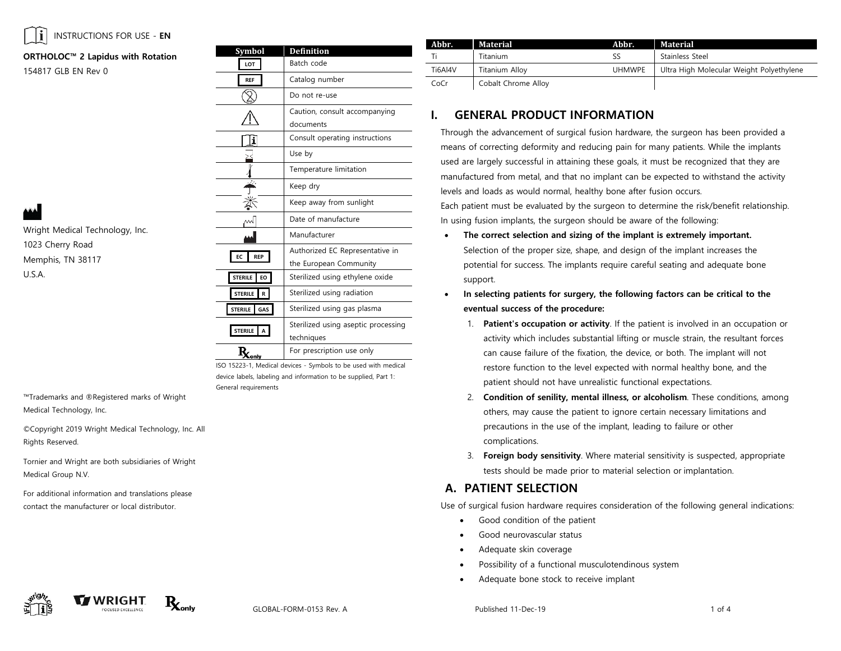

Wright Medical Technology, Inc.

1023 Cherry Road Memphis, TN 38117

U.S.A.

### **ORTHOLOC™ 2 Lapidus with Rotation**

154817 GLB EN Rev 0

| LOT                           | Batch code                                                |  |
|-------------------------------|-----------------------------------------------------------|--|
| <b>REF</b>                    | Catalog number                                            |  |
|                               | Do not re-use                                             |  |
|                               | Caution, consult accompanying<br>documents                |  |
| i                             | Consult operating instructions                            |  |
|                               | Use by                                                    |  |
|                               | Temperature limitation                                    |  |
|                               | Keep dry                                                  |  |
|                               | Keep away from sunlight                                   |  |
|                               | Date of manufacture                                       |  |
|                               | Manufacturer                                              |  |
| <b>REP</b><br>ЕC              | Authorized EC Representative in<br>the European Community |  |
| <b>STERILE</b><br>EO          | Sterilized using ethylene oxide                           |  |
| <b>STERILE</b><br>$\mathbf R$ | Sterilized using radiation                                |  |
| <b>STERILE</b><br>GAS         | Sterilized using gas plasma                               |  |
| <b>STERILE</b><br>A           | Sterilized using aseptic processing<br>techniques         |  |
| $K_{\text{only}}$             | For prescription use only                                 |  |

**Symbol Definition**

ISO 15223-1, Medical devices - Symbols to be used with medical device labels, labeling and information to be supplied, Part 1: General requirements

™Trademarks and ®Registered marks of Wright Medical Technology, Inc.

©Copyright 2019 Wright Medical Technology, Inc. All Rights Reserved.

Tornier and Wright are both subsidiaries of Wright Medical Group N.V.

For additional information and translations please contact the manufacturer or local distributor.

| Abbr.   | Material            | Abbr.         | Material                                 |  |
|---------|---------------------|---------------|------------------------------------------|--|
|         | Titanium            | SS            | Stainless Steel                          |  |
| Ti6Al4V | Titanium Alloy      | <b>UHMWPE</b> | Ultra High Molecular Weight Polyethylene |  |
| CoCr    | Cobalt Chrome Alloy |               |                                          |  |

## **I. GENERAL PRODUCT INFORMATION**

Through the advancement of surgical fusion hardware, the surgeon has been provided a means of correcting deformity and reducing pain for many patients. While the implants used are largely successful in attaining these goals, it must be recognized that they are manufactured from metal, and that no implant can be expected to withstand the activity levels and loads as would normal, healthy bone after fusion occurs.

Each patient must be evaluated by the surgeon to determine the risk/benefit relationship. In using fusion implants, the surgeon should be aware of the following:

- **The correct selection and sizing of the implant is extremely important.**  Selection of the proper size, shape, and design of the implant increases the potential for success. The implants require careful seating and adequate bone support.
- **In selecting patients for surgery, the following factors can be critical to the eventual success of the procedure:**
	- 1. **Patient's occupation or activity**. If the patient is involved in an occupation or activity which includes substantial lifting or muscle strain, the resultant forces can cause failure of the fixation, the device, or both. The implant will not restore function to the level expected with normal healthy bone, and the patient should not have unrealistic functional expectations.
	- 2. **Condition of senility, mental illness, or alcoholism**. These conditions, among others, may cause the patient to ignore certain necessary limitations and precautions in the use of the implant, leading to failure or other complications.
	- 3. **Foreign body sensitivity**. Where material sensitivity is suspected, appropriate tests should be made prior to material selection or implantation.

## **A. PATIENT SELECTION**

Use of surgical fusion hardware requires consideration of the following general indications:

- Good condition of the patient
- Good neurovascular status
- Adequate skin coverage
- Possibility of a functional musculotendinous system
- Adequate bone stock to receive implant





GLOBAL-FORM-0153 Rev. A **Published 11-Dec-19** 1 of 4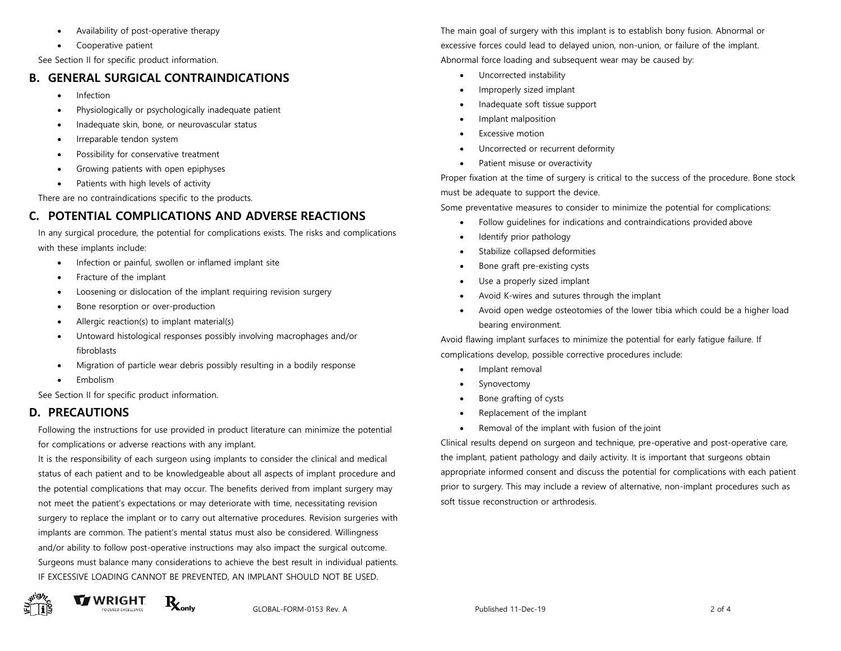- Availability of post-operative therapy
- Cooperative patient

See Section II for specific product information.

## **B. GENERAL SURGICAL CONTRAINDICATIONS**

- Infection
- Physiologically or psychologically inadequate patient
- Inadequate skin, bone, or neurovascular status
- Irreparable tendon system
- Possibility for conservative treatment
- Growing patients with open epiphyses
- Patients with high levels of activity

There are no contraindications specific to the products.

# **C. POTENTIAL COMPLICATIONS AND ADVERSE REACTIONS**

In any surgical procedure, the potential for complications exists. The risks and complications with these implants include:

- Infection or painful, swollen or inflamed implant site
- Fracture of the implant
- Loosening or dislocation of the implant requiring revision surgery
- Bone resorption or over-production
- Allergic reaction(s) to implant material(s)
- Untoward histological responses possibly involving macrophages and/or fibroblasts
- Migration of particle wear debris possibly resulting in a bodily response
- Embolism

See Section II for specific product information.

# **D. PRECAUTIONS**

Following the instructions for use provided in product literature can minimize the potential for complications or adverse reactions with any implant.

It is the responsibility of each surgeon using implants to consider the clinical and medical status of each patient and to be knowledgeable about all aspects of implant procedure and the potential complications that may occur. The benefits derived from implant surgery may not meet the patient's expectations or may deteriorate with time, necessitating revision surgery to replace the implant or to carry out alternative procedures. Revision surgeries with implants are common. The patient's mental status must also be considered. Willingness and/or ability to follow post-operative instructions may also impact the surgical outcome. Surgeons must balance many considerations to achieve the best result in individual patients. IF EXCESSIVE LOADING CANNOT BE PREVENTED, AN IMPLANT SHOULD NOT BE USED.

The main goal of surgery with this implant is to establish bony fusion. Abnormal or excessive forces could lead to delayed union, non-union, or failure of the implant. Abnormal force loading and subsequent wear may be caused by:

- Uncorrected instability
- Improperly sized implant
- Inadequate soft tissue support
- Implant malposition
- **Excessive motion**
- Uncorrected or recurrent deformity
- Patient misuse or overactivity

Proper fixation at the time of surgery is critical to the success of the procedure. Bone stock must be adequate to support the device.

Some preventative measures to consider to minimize the potential for complications:

- Follow guidelines for indications and contraindications provided above
- Identify prior pathology
- Stabilize collapsed deformities
- Bone graft pre-existing cysts
- Use a properly sized implant
- Avoid K-wires and sutures through the implant
- Avoid open wedge osteotomies of the lower tibia which could be a higher load bearing environment.

Avoid flawing implant surfaces to minimize the potential for early fatigue failure. If complications develop, possible corrective procedures include:

- Implant removal
- **Synovectomy**
- Bone grafting of cysts
- Replacement of the implant
- Removal of the implant with fusion of the joint

Clinical results depend on surgeon and technique, pre-operative and post-operative care, the implant, patient pathology and daily activity. It is important that surgeons obtain appropriate informed consent and discuss the potential for complications with each patient prior to surgery. This may include a review of alternative, non-implant procedures such as soft tissue reconstruction or arthrodesis.

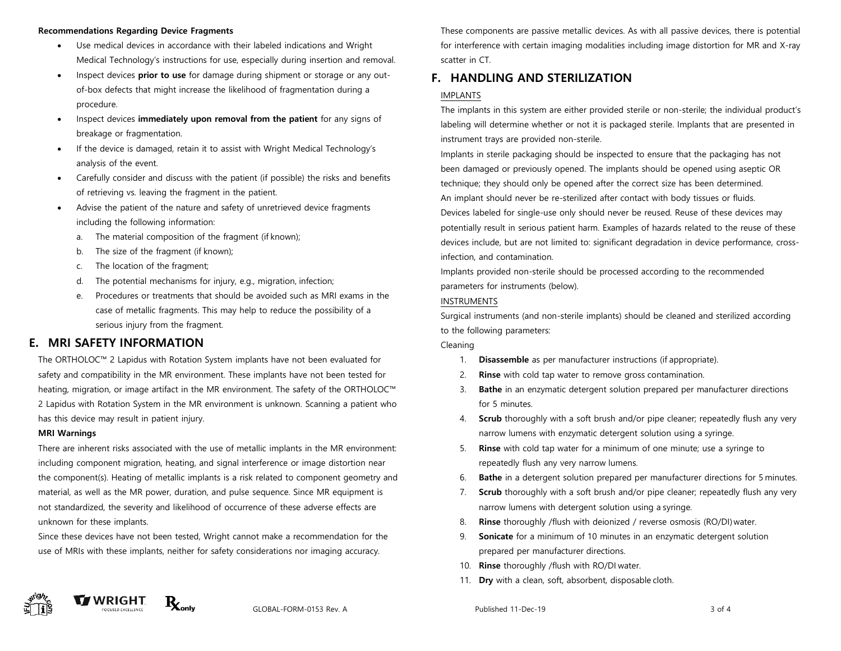#### **Recommendations Regarding Device Fragments**

- Use medical devices in accordance with their labeled indications and Wright Medical Technology's instructions for use, especially during insertion and removal.
- Inspect devices **prior to use** for damage during shipment or storage or any outof-box defects that might increase the likelihood of fragmentation during a procedure.
- Inspect devices **immediately upon removal from the patient** for any signs of breakage or fragmentation.
- If the device is damaged, retain it to assist with Wright Medical Technology's analysis of the event.
- Carefully consider and discuss with the patient (if possible) the risks and benefits of retrieving vs. leaving the fragment in the patient.
- Advise the patient of the nature and safety of unretrieved device fragments including the following information:
	- a. The material composition of the fragment (if known);
	- b. The size of the fragment (if known);
	- c. The location of the fragment;
	- d. The potential mechanisms for injury, e.g., migration, infection;
	- e. Procedures or treatments that should be avoided such as MRI exams in the case of metallic fragments. This may help to reduce the possibility of a serious injury from the fragment.

## **E. MRI SAFETY INFORMATION**

The ORTHOLOC™ 2 Lapidus with Rotation System implants have not been evaluated for safety and compatibility in the MR environment. These implants have not been tested for heating, migration, or image artifact in the MR environment. The safety of the ORTHOLOC™ 2 Lapidus with Rotation System in the MR environment is unknown. Scanning a patient who has this device may result in patient injury.

### **MRI Warnings**

There are inherent risks associated with the use of metallic implants in the MR environment: including component migration, heating, and signal interference or image distortion near the component(s). Heating of metallic implants is a risk related to component geometry and material, as well as the MR power, duration, and pulse sequence. Since MR equipment is not standardized, the severity and likelihood of occurrence of these adverse effects are unknown for these implants.

Since these devices have not been tested, Wright cannot make a recommendation for the use of MRIs with these implants, neither for safety considerations nor imaging accuracy.

These components are passive metallic devices. As with all passive devices, there is potential for interference with certain imaging modalities including image distortion for MR and X-ray scatter in CT.

## **F. HANDLING AND STERILIZATION**

### IMPLANTS

The implants in this system are either provided sterile or non-sterile; the individual product's labeling will determine whether or not it is packaged sterile. Implants that are presented in instrument trays are provided non-sterile.

Implants in sterile packaging should be inspected to ensure that the packaging has not been damaged or previously opened. The implants should be opened using aseptic OR technique; they should only be opened after the correct size has been determined. An implant should never be re-sterilized after contact with body tissues or fluids. Devices labeled for single-use only should never be reused. Reuse of these devices may potentially result in serious patient harm. Examples of hazards related to the reuse of these devices include, but are not limited to: significant degradation in device performance, crossinfection, and contamination.

Implants provided non-sterile should be processed according to the recommended parameters for instruments (below).

### INSTRUMENTS

Surgical instruments (and non-sterile implants) should be cleaned and sterilized according to the following parameters:

#### Cleaning

- 1. **Disassemble** as per manufacturer instructions (if appropriate).
- 2. **Rinse** with cold tap water to remove gross contamination.
- 3. **Bathe** in an enzymatic detergent solution prepared per manufacturer directions for 5 minutes.
- 4. **Scrub** thoroughly with a soft brush and/or pipe cleaner; repeatedly flush any very narrow lumens with enzymatic detergent solution using a syringe.
- 5. **Rinse** with cold tap water for a minimum of one minute; use a syringe to repeatedly flush any very narrow lumens.
- 6. **Bathe** in a detergent solution prepared per manufacturer directions for 5 minutes.
- 7. **Scrub** thoroughly with a soft brush and/or pipe cleaner; repeatedly flush any very narrow lumens with detergent solution using a syringe.
- 8. **Rinse** thoroughly /flush with deionized / reverse osmosis (RO/DI) water.
- 9. **Sonicate** for a minimum of 10 minutes in an enzymatic detergent solution prepared per manufacturer directions.
- 10. **Rinse** thoroughly /flush with RO/DI water.
- **Dry** with a clean, soft, absorbent, disposable cloth.





GLOBAL-FORM-0153 Rev. A 3 of 4